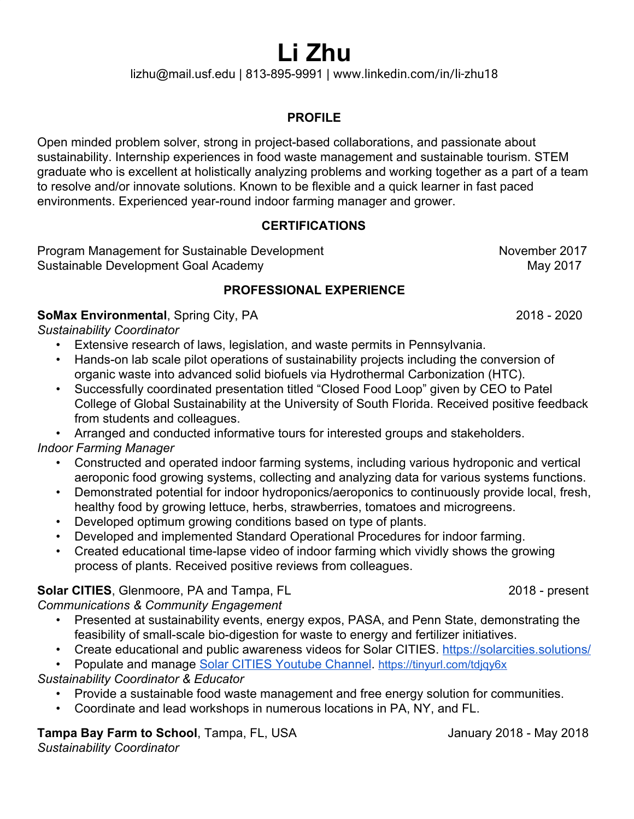# **Li Zhu**

lizhu@mail.usf.edu | 813-895-9991 | www.linkedin.com/in/li-zhu18

## **PROFILE**

Open minded problem solver, strong in project-based collaborations, and passionate about sustainability. Internship experiences in food waste management and sustainable tourism. STEM graduate who is excellent at holistically analyzing problems and working together as a part of a team to resolve and/or innovate solutions. Known to be flexible and a quick learner in fast paced environments. Experienced year-round indoor farming manager and grower.

#### **CERTIFICATIONS**

Program Management for Sustainable Development November 2017 Sustainable Development Goal Academy May 2017

## **PROFESSIONAL EXPERIENCE**

#### **SoMax Environmental**, Spring City, PA 2018 - 2020

*Sustainability Coordinator*

- Extensive research of laws, legislation, and waste permits in Pennsylvania.
- Hands-on lab scale pilot operations of sustainability projects including the conversion of organic waste into advanced solid biofuels via Hydrothermal Carbonization (HTC).
- Successfully coordinated presentation titled "Closed Food Loop" given by CEO to Patel College of Global Sustainability at the University of South Florida. Received positive feedback from students and colleagues.
- Arranged and conducted informative tours for interested groups and stakeholders.

*Indoor Farming Manager*

- Constructed and operated indoor farming systems, including various hydroponic and vertical aeroponic food growing systems, collecting and analyzing data for various systems functions.
- Demonstrated potential for indoor hydroponics/aeroponics to continuously provide local, fresh, healthy food by growing lettuce, herbs, strawberries, tomatoes and microgreens.
- Developed optimum growing conditions based on type of plants.
- Developed and implemented Standard Operational Procedures for indoor farming.
- Created educational time-lapse video of indoor farming which vividly shows the growing process of plants. Received positive reviews from colleagues.

# **Solar CITIES**, Glenmoore, PA and Tampa, FL 2018 - present

*Communications & Community Engagement*

- Presented at sustainability events, energy expos, PASA, and Penn State, demonstrating the feasibility of small-scale bio-digestion for waste to energy and fertilizer initiatives.
- Create educational and public awareness videos for Solar CITIES. <https://solarcities.solutions/>

• Populate and manage [Solar CITIES Youtube Channel](https://www.youtube.com/channel/UCkDC8Vzs879Ep7QSV0v0Idg/playlists). <https://tinyurl.com/tdjqy6x>

## *Sustainability Coordinator & Educator*

- Provide a sustainable food waste management and free energy solution for communities.
- Coordinate and lead workshops in numerous locations in PA, NY, and FL.

## **Tampa Bay Farm to School**, Tampa, FL, USA January 2018 - May 2018

*Sustainability Coordinator*